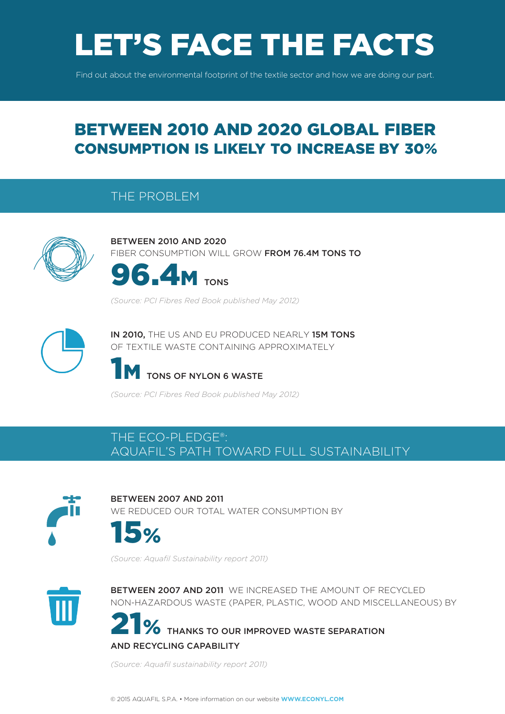# LET'S FACE THE FACTS

Find out about the environmental footprint of the textile sector and how we are doing our part.

## BETWEEN 2010 AND 2020 GLOBAL FIBER CONSUMPTION IS LIKELY TO INCREASE BY 30%

#### THE PROBLEM



BETWEEN 2010 AND 2020 FIBER CONSUMPTION WILL GROW FROM 76.4M TONS TO



*(Source: PCI Fibres Red Book published May 2012)*



IN 2010, THE US AND EU PRODUCED NEARLY 15M TONS OF TEXTILE WASTE CONTAINING APPROXIMATELY

### TONS OF NYLON 6 WASTE

*(Source: PCI Fibres Red Book published May 2012)*

#### THE ECO-PLEDGE®: AQUAFIL'S PATH TOWARD FULL SUSTAINABILITY



BETWEEN 2007 AND 2011 WE REDUCED OUR TOTAL WATER CONSUMPTION BY



*(Source: Aquafil Sustainability report 2011)*



BETWEEN 2007 AND 2011 WE INCREASED THE AMOUNT OF RECYCLED NON-HAZARDOUS WASTE (PAPER, PLASTIC, WOOD AND MISCELLANEOUS) BY

**O** THANKS TO OUR IMPROVED WASTE SEPARATION AND RECYCLING CAPABILITY

*(Source: Aquafil sustainability report 2011)*